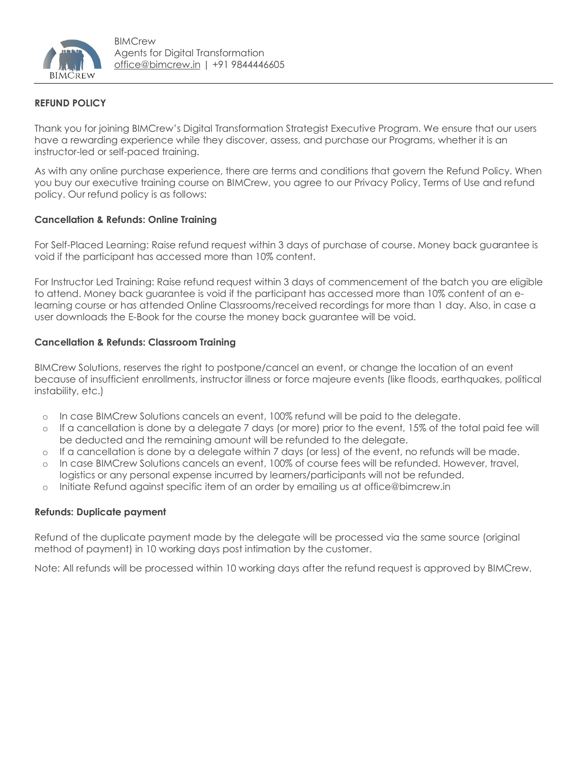

# **REFUND POLICY**

Thank you for joining BIMCrew's Digital Transformation Strategist Executive Program. We ensure that our users have a rewarding experience while they discover, assess, and purchase our Programs, whether it is an instructor-led or self-paced training.

As with any online purchase experience, there are terms and conditions that govern the Refund Policy. When you buy our executive training course on BIMCrew, you agree to our Privacy Policy, Terms of Use and refund policy. Our refund policy is as follows:

### **Cancellation & Refunds: Online Training**

For Self-Placed Learning: Raise refund request within 3 days of purchase of course. Money back guarantee is void if the participant has accessed more than 10% content.

For Instructor Led Training: Raise refund request within 3 days of commencement of the batch you are eligible to attend. Money back guarantee is void if the participant has accessed more than 10% content of an elearning course or has attended Online Classrooms/received recordings for more than 1 day. Also, in case a user downloads the E-Book for the course the money back guarantee will be void.

### **Cancellation & Refunds: Classroom Training**

BIMCrew Solutions, reserves the right to postpone/cancel an event, or change the location of an event because of insufficient enrollments, instructor illness or force majeure events (like floods, earthquakes, political instability, etc.)

- o In case BIMCrew Solutions cancels an event, 100% refund will be paid to the delegate.
- o If a cancellation is done by a delegate 7 days (or more) prior to the event, 15% of the total paid fee will be deducted and the remaining amount will be refunded to the delegate.
- o If a cancellation is done by a delegate within 7 days (or less) of the event, no refunds will be made.
- o In case BIMCrew Solutions cancels an event, 100% of course fees will be refunded. However, travel, logistics or any personal expense incurred by learners/participants will not be refunded.
- o Initiate Refund against specific item of an order by emailing us at office@bimcrew.in

### **Refunds: Duplicate payment**

Refund of the duplicate payment made by the delegate will be processed via the same source (original method of payment) in 10 working days post intimation by the customer.

Note: All refunds will be processed within 10 working days after the refund request is approved by BIMCrew.